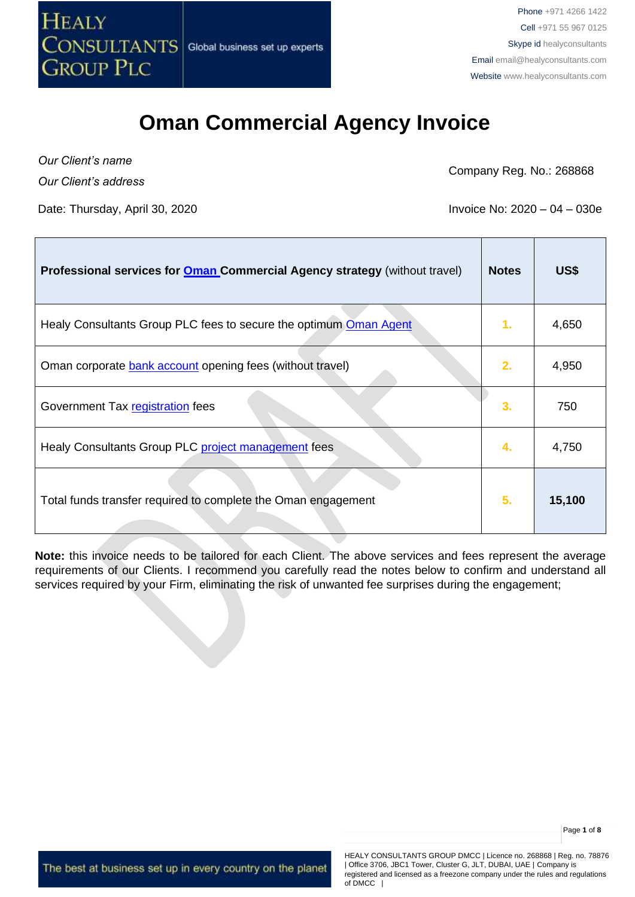

*Our Client's name Our Client's address*

Company Reg. No.: 268868

Date: Thursday, April 30, 2020 **Invoice No: 2020** – 04 – 030e

| Professional services for <b>Oman Commercial Agency strategy</b> (without travel) | <b>Notes</b> | US\$   |
|-----------------------------------------------------------------------------------|--------------|--------|
| Healy Consultants Group PLC fees to secure the optimum Oman Agent                 | 1.           | 4,650  |
| Oman corporate bank account opening fees (without travel)                         | 2.           | 4,950  |
| Government Tax registration fees                                                  | 3.           | 750    |
| Healy Consultants Group PLC project management fees                               | 4.           | 4,750  |
| Total funds transfer required to complete the Oman engagement                     | 5.           | 15,100 |

**Note:** this invoice needs to be tailored for each Client. The above services and fees represent the average requirements of our Clients. I recommend you carefully read the notes below to confirm and understand all services required by your Firm, eliminating the risk of unwanted fee surprises during the engagement;

The best at business set up in every country on the planet

HEALY CONSULTANTS GROUP DMCC | Licence no. 268868 | Reg. no. 78876 | Office 3706, JBC1 Tower, Cluster G, JLT, DUBAI, UAE | Company is registered and licensed as a freezone company under the rules and regulations of DMCC |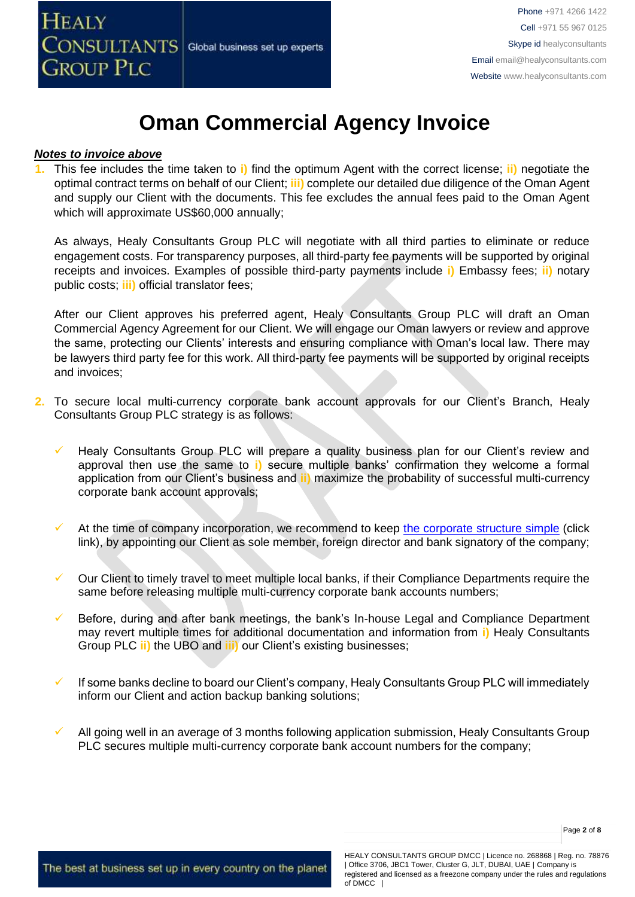

#### *Notes to invoice above*

**1.** This fee includes the time taken to **i)** find the optimum Agent with the correct license; **ii)** negotiate the optimal contract terms on behalf of our Client; **iii)** complete our detailed due diligence of the Oman Agent and supply our Client with the documents. This fee excludes the annual fees paid to the Oman Agent which will approximate US\$60,000 annually;

As always, Healy Consultants Group PLC will negotiate with all third parties to eliminate or reduce engagement costs. For transparency purposes, all third-party fee payments will be supported by original receipts and invoices. Examples of possible third-party payments include **i)** Embassy fees; **ii)** notary public costs; **iii)** official translator fees;

After our Client approves his preferred agent, Healy Consultants Group PLC will draft an Oman Commercial Agency Agreement for our Client. We will engage our Oman lawyers or review and approve the same, protecting our Clients' interests and ensuring compliance with Oman's local law. There may be lawyers third party fee for this work. All third-party fee payments will be supported by original receipts and invoices;

- **2.** To secure local multi-currency corporate bank account approvals for our Client's Branch, Healy Consultants Group PLC strategy is as follows:
	- Healy Consultants Group PLC will prepare a quality business plan for our Client's review and approval then use the same to **i)** secure multiple banks' confirmation they welcome a formal application from our Client's business and **ii)** maximize the probability of successful multi-currency corporate bank account approvals;
	- $\checkmark$  At the time of company incorporation, we recommend to keep [the corporate structure simple](https://www.healyconsultants.com/about-us/complex-client-engagements/simplify-business-setup/) (click link), by appointing our Client as sole member, foreign director and bank signatory of the company;
	- Our Client to timely travel to meet multiple local banks, if their Compliance Departments require the same before releasing multiple multi-currency corporate bank accounts numbers;
	- Before, during and after bank meetings, the bank's In-house Legal and Compliance Department may revert multiple times for additional documentation and information from **i)** Healy Consultants Group PLC **ii)** the UBO and **iii)** our Client's existing businesses;
	- If some banks decline to board our Client's company, Healy Consultants Group PLC will immediately inform our Client and action backup banking solutions;
	- All going well in an average of 3 months following application submission, Healy Consultants Group PLC secures multiple multi-currency corporate bank account numbers for the company;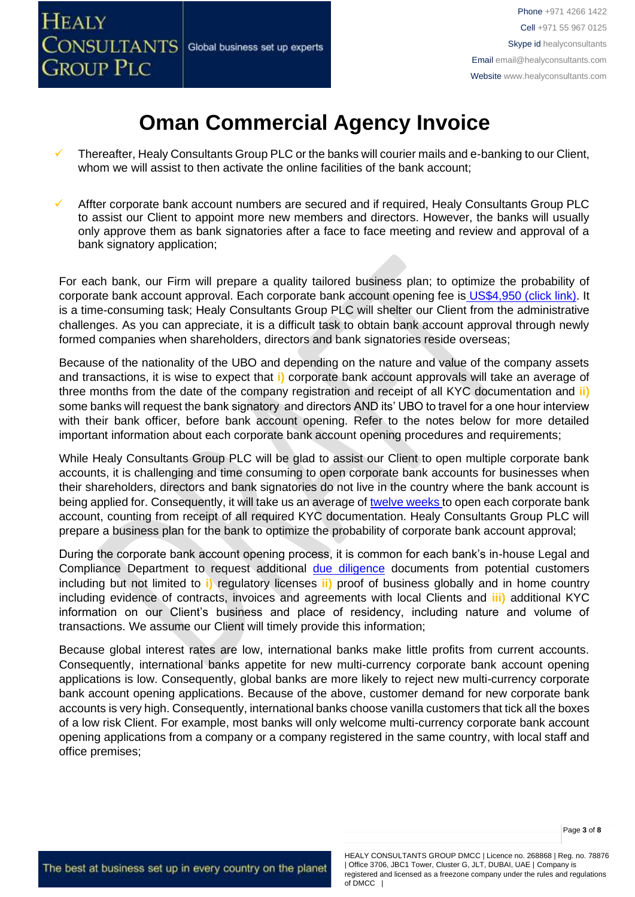

- Thereafter, Healy Consultants Group PLC or the banks will courier mails and e-banking to our Client, whom we will assist to then activate the online facilities of the bank account;
- Affter corporate bank account numbers are secured and if required, Healy Consultants Group PLC to assist our Client to appoint more new members and directors. However, the banks will usually only approve them as bank signatories after a face to face meeting and review and approval of a bank signatory application;

For each bank, our Firm will prepare a quality tailored business plan; to optimize the probability of corporate bank account approval. Each corporate bank account opening fee is [US\\$4,950 \(click link\).](https://www.healyconsultants.com/global-corporate-banking-for-resident-company/) It is a time-consuming task; Healy Consultants Group PLC will shelter our Client from the administrative challenges. As you can appreciate, it is a difficult task to obtain bank account approval through newly formed companies when shareholders, directors and bank signatories reside overseas;

Because of the nationality of the UBO and depending on the nature and value of the company assets and transactions, it is wise to expect that **i)** corporate bank account approvals will take an average of three months from the date of the company registration and receipt of all KYC documentation and **ii)** some banks will request the bank signatory and directors AND its' UBO to travel for a one hour interview with their bank officer, before bank account opening. Refer to the notes below for more detailed important information about each corporate bank account opening procedures and requirements;

While Healy Consultants Group PLC will be glad to assist our Client to open multiple corporate bank accounts, it is challenging and time consuming to open corporate bank accounts for businesses when their shareholders, directors and bank signatories do not live in the country where the bank account is being applied for. Consequently, it will take us an average of [twelve weeks](http://www.healyconsultants.com/international-banking/bitcoin-business-bank-account/) to open each corporate bank account, counting from receipt of all required KYC documentation. Healy Consultants Group PLC will prepare a business plan for the bank to optimize the probability of corporate bank account approval;

During the corporate bank account opening process, it is common for each bank's in-house Legal and Compliance Department to request additional [due diligence](http://www.healyconsultants.com/due-diligence/) documents from potential customers including but not limited to **i)** regulatory licenses **ii)** proof of business globally and in home country including evidence of contracts, invoices and agreements with local Clients and **iii)** additional KYC information on our Client's business and place of residency, including nature and volume of transactions. We assume our Client will timely provide this information;

Because global interest rates are low, international banks make little profits from current accounts. Consequently, international banks appetite for new multi-currency corporate bank account opening applications is low. Consequently, global banks are more likely to reject new multi-currency corporate bank account opening applications. Because of the above, customer demand for new corporate bank accounts is very high. Consequently, international banks choose vanilla customers that tick all the boxes of a low risk Client. For example, most banks will only welcome multi-currency corporate bank account opening applications from a company or a company registered in the same country, with local staff and office premises;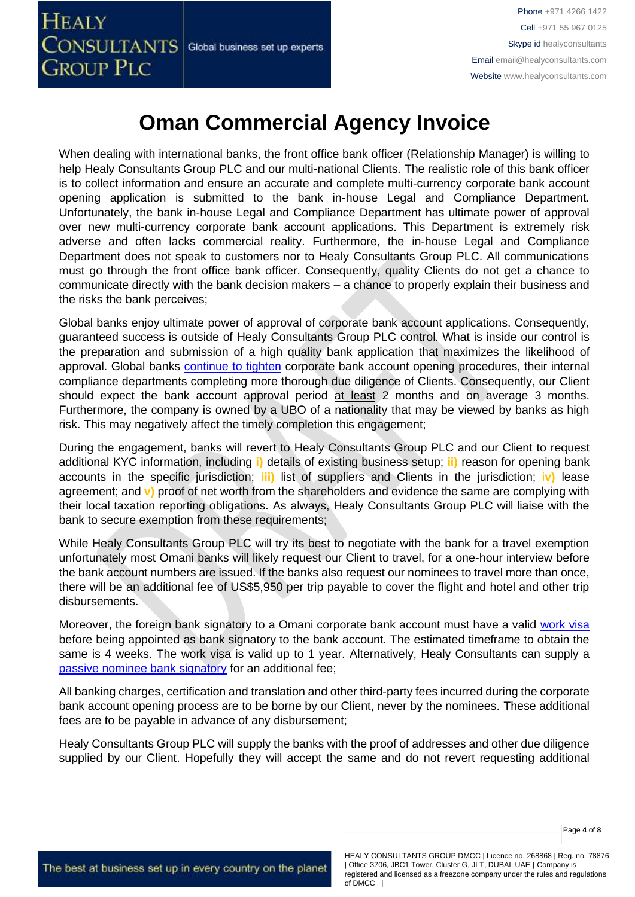When dealing with international banks, the front office bank officer (Relationship Manager) is willing to help Healy Consultants Group PLC and our multi-national Clients. The realistic role of this bank officer is to collect information and ensure an accurate and complete multi-currency corporate bank account opening application is submitted to the bank in-house Legal and Compliance Department. Unfortunately, the bank in-house Legal and Compliance Department has ultimate power of approval over new multi-currency corporate bank account applications. This Department is extremely risk adverse and often lacks commercial reality. Furthermore, the in-house Legal and Compliance Department does not speak to customers nor to Healy Consultants Group PLC. All communications must go through the front office bank officer. Consequently, quality Clients do not get a chance to communicate directly with the bank decision makers – a chance to properly explain their business and the risks the bank perceives;

Global banks enjoy ultimate power of approval of corporate bank account applications. Consequently, guaranteed success is outside of Healy Consultants Group PLC control. What is inside our control is the preparation and submission of a high quality bank application that maximizes the likelihood of approval. Global banks [continue to tighten](https://www.healyconsultants.com/international-banking/opening-corporate-bank-accounts/) corporate bank account opening procedures, their internal compliance departments completing more thorough due diligence of Clients. Consequently, our Client should expect the bank account approval period at least 2 months and on average 3 months. Furthermore, the company is owned by a UBO of a nationality that may be viewed by banks as high risk. This may negatively affect the timely completion this engagement;

During the engagement, banks will revert to Healy Consultants Group PLC and our Client to request additional KYC information, including **i)** details of existing business setup; **ii)** reason for opening bank accounts in the specific jurisdiction; **iii)** list of suppliers and Clients in the jurisdiction; i**v)** lease agreement; and **v)** proof of net worth from the shareholders and evidence the same are complying with their local taxation reporting obligations. As always, Healy Consultants Group PLC will liaise with the bank to secure exemption from these requirements;

While Healy Consultants Group PLC will try its best to negotiate with the bank for a travel exemption unfortunately most Omani banks will likely request our Client to travel, for a one-hour interview before the bank account numbers are issued. If the banks also request our nominees to travel more than once, there will be an additional fee of US\$5,950 per trip payable to cover the flight and hotel and other trip disbursements.

Moreover, the foreign bank signatory to a Omani corporate bank account must have a valid [work](https://www.healyconsultants.com/oman-company-registration/formation-support-services/) visa before being appointed as bank signatory to the bank account. The estimated timeframe to obtain the same is 4 weeks. The work visa is valid up to 1 year. Alternatively, Healy Consultants can supply a [passive nominee bank signatory](http://www.healyconsultants.com/corporate-banking-services/nominee-bank-signatory/) for an additional fee;

All banking charges, certification and translation and other third-party fees incurred during the corporate bank account opening process are to be borne by our Client, never by the nominees. These additional fees are to be payable in advance of any disbursement;

Healy Consultants Group PLC will supply the banks with the proof of addresses and other due diligence supplied by our Client. Hopefully they will accept the same and do not revert requesting additional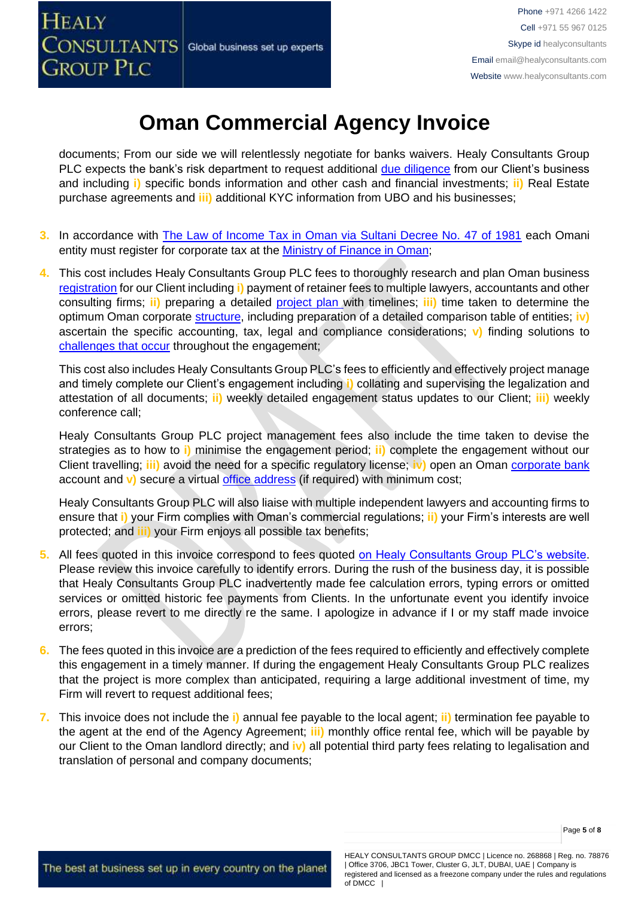documents; From our side we will relentlessly negotiate for banks waivers. Healy Consultants Group PLC expects the bank's risk department to request additional [due diligence](http://www.healyconsultants.com/due-diligence/) from our Client's business and including **i)** specific bonds information and other cash and financial investments; **ii)** Real Estate purchase agreements and **iii)** additional KYC information from UBO and his businesses;

- **3.** In accordance with [The Law of Income Tax in Oman via Sultani Decree No. 47 of 1981](http://www.taxoman.gov.om/companies%20law%20in%20English.pdf) each Omani entity must register for corporate tax at the [Ministry of Finance in Oman;](http://www.taxoman.gov.om/company_tax.html#main-page)
- **4.** This cost includes Healy Consultants Group PLC fees to thoroughly research and plan Oman business [registration](http://www.healyconsultants.com/oman-company-registration/) for our Client including **i)** payment of retainer fees to multiple lawyers, accountants and other consulting firms; **ii)** preparing a detailed [project plan w](http://www.healyconsultants.com/index-important-links/example-project-plan/)ith timelines; **iii)** time taken to determine the optimum Oman corporate [structure,](https://www.healyconsultants.com/middle-east-incorporation/uae-emirates-comparisons/) including preparation of a detailed comparison table of entities; **iv)** ascertain the specific accounting, tax, legal and compliance considerations; **v)** finding solutions to [challenges that occur](http://www.healyconsultants.com/engagement-project-management/) throughout the engagement;

This cost also includes Healy Consultants Group PLC's fees to efficiently and effectively project manage and timely complete our Client's engagement including **i)** collating and supervising the legalization and attestation of all documents; **ii)** weekly detailed engagement status updates to our Client; **iii)** weekly conference call;

Healy Consultants Group PLC project management fees also include the time taken to devise the strategies as to how to **i)** minimise the engagement period; **ii)** complete the engagement without our Client travelling; **iii)** avoid the need for a specific regulatory license; **iv)** open an Oman [corporate bank](http://www.healyconsultants.com/oman-company-registration/formation-support-services/#banking) account and **v)** secure a virtual [office address](http://www.healyconsultants.com/corporate-advisory-services/virtual-office/) (if required) with minimum cost;

Healy Consultants Group PLC will also liaise with multiple independent lawyers and accounting firms to ensure that **i)** your Firm complies with Oman's commercial regulations; **ii)** your Firm's interests are well protected; and **iii)** your Firm enjoys all possible tax benefits;

- **5.** All fees quoted in this invoice correspond to fees quoted [on Healy Consultants Group PLC's website.](http://www.healyconsultants.com/company-registration-fees/) Please review this invoice carefully to identify errors. During the rush of the business day, it is possible that Healy Consultants Group PLC inadvertently made fee calculation errors, typing errors or omitted services or omitted historic fee payments from Clients. In the unfortunate event you identify invoice errors, please revert to me directly re the same. I apologize in advance if I or my staff made invoice errors;
- **6.** The fees quoted in this invoice are a prediction of the fees required to efficiently and effectively complete this engagement in a timely manner. If during the engagement Healy Consultants Group PLC realizes that the project is more complex than anticipated, requiring a large additional investment of time, my Firm will revert to request additional fees;
- **7.** This invoice does not include the **i)** annual fee payable to the local agent; **ii)** termination fee payable to the agent at the end of the Agency Agreement; **iii)** monthly office rental fee, which will be payable by our Client to the Oman landlord directly; and **iv)** all potential third party fees relating to legalisation and translation of personal and company documents;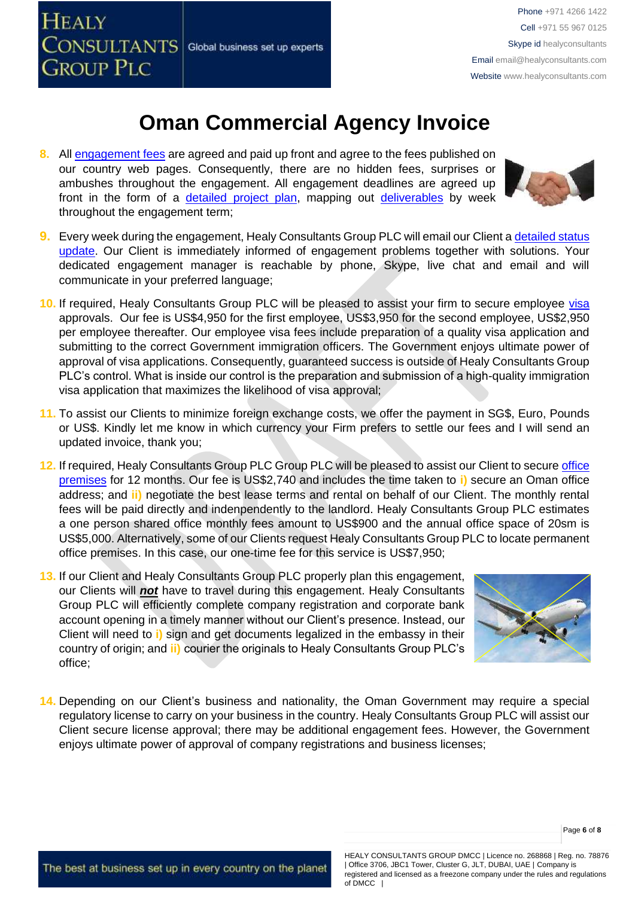

**8.** All [engagement fees](http://www.healyconsultants.com/company-registration-fees/) are agreed and paid up front and agree to the fees published on our country web pages. Consequently, there are no hidden fees, surprises or ambushes throughout the engagement. All engagement deadlines are agreed up front in the form of a [detailed project plan,](http://www.healyconsultants.com/index-important-links/example-project-plan/) mapping out [deliverables](http://www.healyconsultants.com/deliverables-to-our-clients/) by week throughout the engagement term;



- **9.** Every week during the engagement, Healy Consultants Group PLC will email our Client [a detailed status](http://www.healyconsultants.com/index-important-links/weekly-engagement-status-email/)  [update.](http://www.healyconsultants.com/index-important-links/weekly-engagement-status-email/) Our Client is immediately informed of engagement problems together with solutions. Your dedicated engagement manager is reachable by phone, Skype, live chat and email and will communicate in your preferred language;
- **10.** If required, Healy Consultants Group PLC will be pleased to assist your firm to secure employee [visa](http://www.healyconsultants.com/oman-company-registration/formation-support-services/) approvals. Our fee is US\$4,950 for the first employee, US\$3,950 for the second employee, US\$2,950 per employee thereafter. Our employee visa fees include preparation of a quality visa application and submitting to the correct Government immigration officers. The Government enjoys ultimate power of approval of visa applications. Consequently, guaranteed success is outside of Healy Consultants Group PLC's control. What is inside our control is the preparation and submission of a high-quality immigration visa application that maximizes the likelihood of visa approval;
- **11.** To assist our Clients to minimize foreign exchange costs, we offer the payment in SG\$, Euro, Pounds or US\$. Kindly let me know in which currency your Firm prefers to settle our fees and I will send an updated invoice, thank you;
- **12.** If required, Healy Consultants Group PLC Group PLC will be pleased to assist our Client to secur[e office](http://www.healyconsultants.com/virtual-office/)  [premises](http://www.healyconsultants.com/virtual-office/) for 12 months. Our fee is US\$2,740 and includes the time taken to **i)** secure an Oman office address; and **ii)** negotiate the best lease terms and rental on behalf of our Client. The monthly rental fees will be paid directly and indenpendently to the landlord. Healy Consultants Group PLC estimates a one person shared office monthly fees amount to US\$900 and the annual office space of 20sm is US\$5,000. Alternatively, some of our Clients request Healy Consultants Group PLC to locate permanent office premises. In this case, our one-time fee for this service is US\$7,950;
- **13.** If our Client and Healy Consultants Group PLC properly plan this engagement, our Clients will *not* have to travel during this engagement. Healy Consultants Group PLC will efficiently complete company registration and corporate bank account opening in a timely manner without our Client's presence. Instead, our Client will need to **i)** sign and get documents legalized in the embassy in their country of origin; and **ii)** courier the originals to Healy Consultants Group PLC's office;



**14.** Depending on our Client's business and nationality, the Oman Government may require a special regulatory license to carry on your business in the country. Healy Consultants Group PLC will assist our Client secure license approval; there may be additional engagement fees. However, the Government enjoys ultimate power of approval of company registrations and business licenses;

HEALY CONSULTANTS GROUP DMCC | Licence no. 268868 | Reg. no. 78876 | Office 3706, JBC1 Tower, Cluster G, JLT, DUBAI, UAE | Company is registered and licensed as a freezone company under the rules and regulations of DMCC |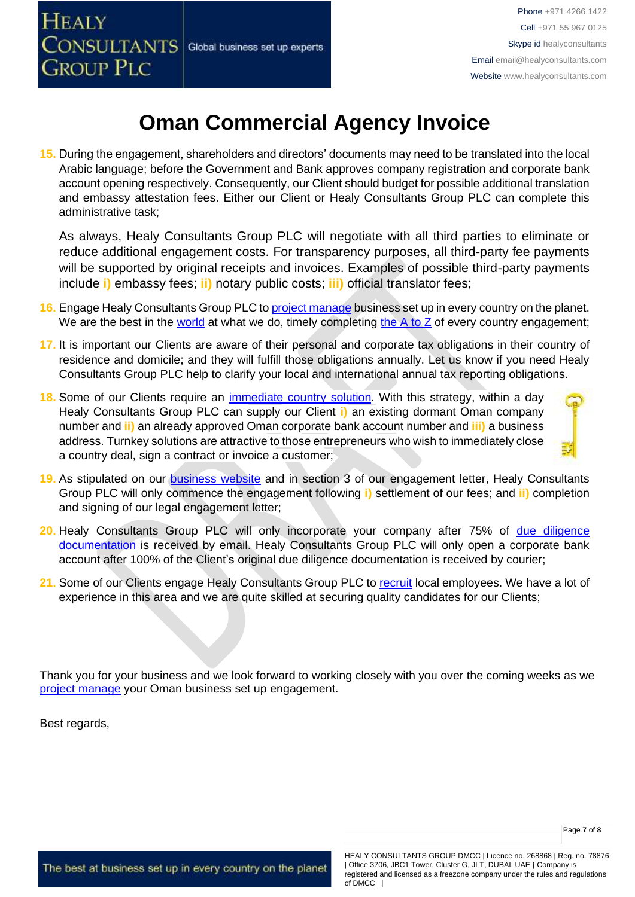

**15.** During the engagement, shareholders and directors' documents may need to be translated into the local Arabic language; before the Government and Bank approves company registration and corporate bank account opening respectively. Consequently, our Client should budget for possible additional translation and embassy attestation fees. Either our Client or Healy Consultants Group PLC can complete this administrative task;

As always, Healy Consultants Group PLC will negotiate with all third parties to eliminate or reduce additional engagement costs. For transparency purposes, all third-party fee payments will be supported by original receipts and invoices. Examples of possible third-party payments include **i)** embassy fees; **ii)** notary public costs; **iii)** official translator fees;

- **16.** Engage Healy Consultants Group PLC t[o project manage](http://www.healyconsultants.com/project-manage-engagements/) business set up in every country on the planet. We are the best in the [world](http://www.healyconsultants.com/best-in-the-world/) at what we do, timely completing the  $A$  to  $Z$  of every country engagement;
- **17.** It is important our Clients are aware of their personal and corporate tax obligations in their country of residence and domicile; and they will fulfill those obligations annually. Let us know if you need Healy Consultants Group PLC help to clarify your local and international annual tax reporting obligations.
- **18.** Some of our Clients require an [immediate country solution.](http://www.healyconsultants.com/turnkey-solutions/) With this strategy, within a day Healy Consultants Group PLC can supply our Client **i)** an existing dormant Oman company number and **ii)** an already approved Oman corporate bank account number and **iii)** a business address. Turnkey solutions are attractive to those entrepreneurs who wish to immediately close a country deal, sign a contract or invoice a customer;



- **20.** Healy Consultants Group PLC will only incorporate your company after 75% of [due diligence](http://www.healyconsultants.com/due-diligence/)  [documentation](http://www.healyconsultants.com/due-diligence/) is received by email. Healy Consultants Group PLC will only open a corporate bank account after 100% of the Client's original due diligence documentation is received by courier;
- 21. Some of our Clients engage Healy Consultants Group PLC to [recruit](http://www.healyconsultants.com/corporate-outsourcing-services/how-we-help-our-clients-recruit-quality-employees/) local employees. We have a lot of experience in this area and we are quite skilled at securing quality candidates for our Clients;

Thank you for your business and we look forward to working closely with you over the coming weeks as we [project manage](http://www.healyconsultants.com/company-formation/project-manage-engagements/) your Oman business set up engagement.

Best regards,